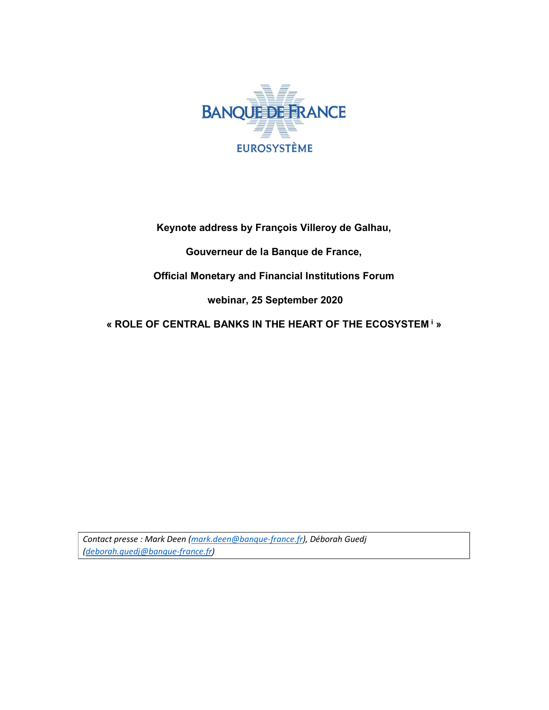

Keynote address by François Villeroy de Galhau,

Gouverneur de la Banque de France,

Official Monetary and Financial Institutions Forum

webinar, 25 September 2020

« ROLE OF CENTRAL BANKS IN THE HEART OF THE ECOSYSTEM<sup>i</sup> »

Contact presse : Mark Deen (mark.deen@banque-france.fr), Déborah Guedj (deborah.guedj@banque-france.fr)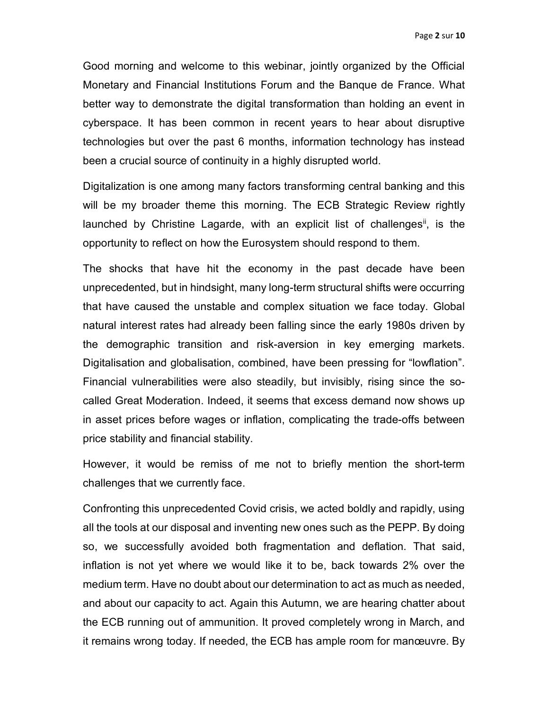Good morning and welcome to this webinar, jointly organized by the Official Monetary and Financial Institutions Forum and the Banque de France. What better way to demonstrate the digital transformation than holding an event in cyberspace. It has been common in recent years to hear about disruptive technologies but over the past 6 months, information technology has instead been a crucial source of continuity in a highly disrupted world.

Digitalization is one among many factors transforming central banking and this will be my broader theme this morning. The ECB Strategic Review rightly launched by Christine Lagarde, with an explicit list of challenges<sup>"</sup>, is the opportunity to reflect on how the Eurosystem should respond to them.

The shocks that have hit the economy in the past decade have been unprecedented, but in hindsight, many long-term structural shifts were occurring that have caused the unstable and complex situation we face today. Global natural interest rates had already been falling since the early 1980s driven by the demographic transition and risk-aversion in key emerging markets. Digitalisation and globalisation, combined, have been pressing for "lowflation". Financial vulnerabilities were also steadily, but invisibly, rising since the socalled Great Moderation. Indeed, it seems that excess demand now shows up in asset prices before wages or inflation, complicating the trade-offs between price stability and financial stability.

However, it would be remiss of me not to briefly mention the short-term challenges that we currently face.

Confronting this unprecedented Covid crisis, we acted boldly and rapidly, using all the tools at our disposal and inventing new ones such as the PEPP. By doing so, we successfully avoided both fragmentation and deflation. That said, inflation is not yet where we would like it to be, back towards 2% over the medium term. Have no doubt about our determination to act as much as needed, and about our capacity to act. Again this Autumn, we are hearing chatter about the ECB running out of ammunition. It proved completely wrong in March, and it remains wrong today. If needed, the ECB has ample room for manœuvre. By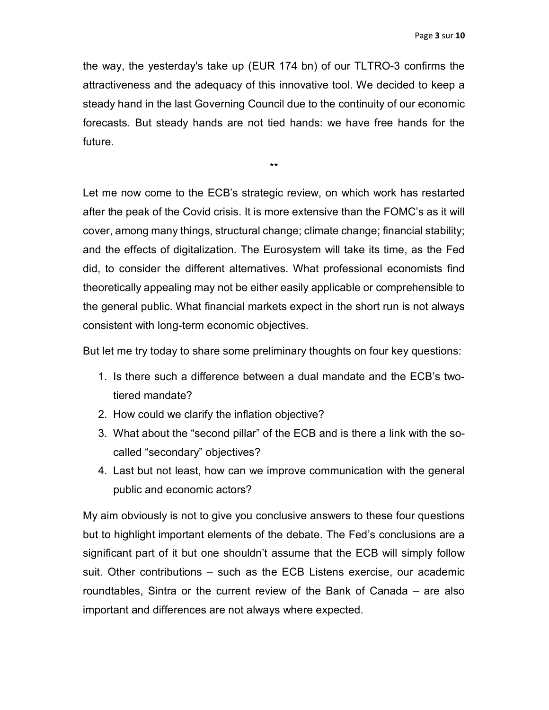the way, the yesterday's take up (EUR 174 bn) of our TLTRO-3 confirms the attractiveness and the adequacy of this innovative tool. We decided to keep a steady hand in the last Governing Council due to the continuity of our economic forecasts. But steady hands are not tied hands: we have free hands for the future.

\*\*

Let me now come to the ECB's strategic review, on which work has restarted after the peak of the Covid crisis. It is more extensive than the FOMC's as it will cover, among many things, structural change; climate change; financial stability; and the effects of digitalization. The Eurosystem will take its time, as the Fed did, to consider the different alternatives. What professional economists find theoretically appealing may not be either easily applicable or comprehensible to the general public. What financial markets expect in the short run is not always consistent with long-term economic objectives.

But let me try today to share some preliminary thoughts on four key questions:

- 1. Is there such a difference between a dual mandate and the ECB's twotiered mandate?
- 2. How could we clarify the inflation objective?
- 3. What about the "second pillar" of the ECB and is there a link with the socalled "secondary" objectives?
- 4. Last but not least, how can we improve communication with the general public and economic actors?

My aim obviously is not to give you conclusive answers to these four questions but to highlight important elements of the debate. The Fed's conclusions are a significant part of it but one shouldn't assume that the ECB will simply follow suit. Other contributions – such as the ECB Listens exercise, our academic roundtables, Sintra or the current review of the Bank of Canada – are also important and differences are not always where expected.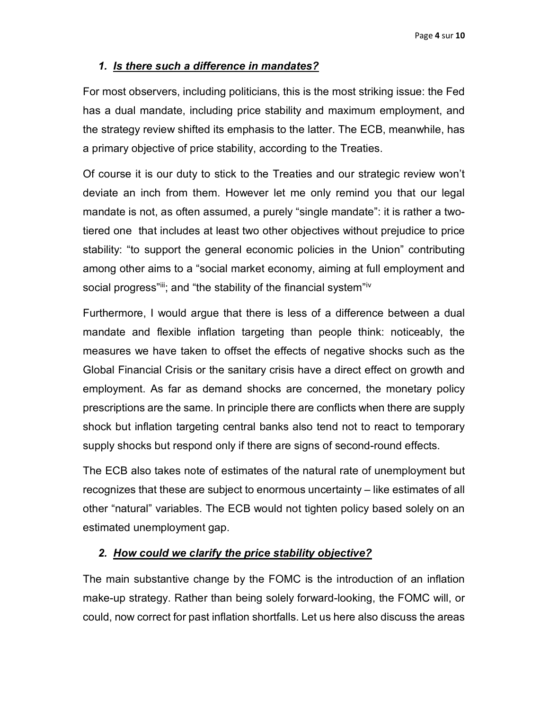## 1. Is there such a difference in mandates?

For most observers, including politicians, this is the most striking issue: the Fed has a dual mandate, including price stability and maximum employment, and the strategy review shifted its emphasis to the latter. The ECB, meanwhile, has a primary objective of price stability, according to the Treaties.

Of course it is our duty to stick to the Treaties and our strategic review won't deviate an inch from them. However let me only remind you that our legal mandate is not, as often assumed, a purely "single mandate": it is rather a twotiered one that includes at least two other objectives without prejudice to price stability: "to support the general economic policies in the Union" contributing among other aims to a "social market economy, aiming at full employment and social progress"iii; and "the stability of the financial system"iv

Furthermore, I would argue that there is less of a difference between a dual mandate and flexible inflation targeting than people think: noticeably, the measures we have taken to offset the effects of negative shocks such as the Global Financial Crisis or the sanitary crisis have a direct effect on growth and employment. As far as demand shocks are concerned, the monetary policy prescriptions are the same. In principle there are conflicts when there are supply shock but inflation targeting central banks also tend not to react to temporary supply shocks but respond only if there are signs of second-round effects.

The ECB also takes note of estimates of the natural rate of unemployment but recognizes that these are subject to enormous uncertainty – like estimates of all other "natural" variables. The ECB would not tighten policy based solely on an estimated unemployment gap.

## 2. How could we clarify the price stability objective?

The main substantive change by the FOMC is the introduction of an inflation make-up strategy. Rather than being solely forward-looking, the FOMC will, or could, now correct for past inflation shortfalls. Let us here also discuss the areas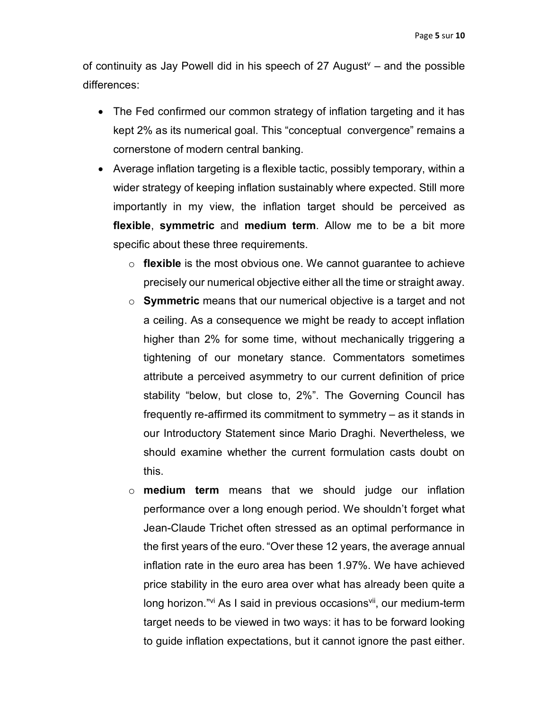of continuity as Jay Powell did in his speech of 27 August $v -$  and the possible differences:

- The Fed confirmed our common strategy of inflation targeting and it has kept 2% as its numerical goal. This "conceptual convergence" remains a cornerstone of modern central banking.
- Average inflation targeting is a flexible tactic, possibly temporary, within a wider strategy of keeping inflation sustainably where expected. Still more importantly in my view, the inflation target should be perceived as flexible, symmetric and medium term. Allow me to be a bit more specific about these three requirements.
	- $\circ$  flexible is the most obvious one. We cannot guarantee to achieve precisely our numerical objective either all the time or straight away.
	- o Symmetric means that our numerical objective is a target and not a ceiling. As a consequence we might be ready to accept inflation higher than 2% for some time, without mechanically triggering a tightening of our monetary stance. Commentators sometimes attribute a perceived asymmetry to our current definition of price stability "below, but close to, 2%". The Governing Council has frequently re-affirmed its commitment to symmetry – as it stands in our Introductory Statement since Mario Draghi. Nevertheless, we should examine whether the current formulation casts doubt on this.
	- $\circ$  medium term means that we should judge our inflation performance over a long enough period. We shouldn't forget what Jean-Claude Trichet often stressed as an optimal performance in the first years of the euro. "Over these 12 years, the average annual inflation rate in the euro area has been 1.97%. We have achieved price stability in the euro area over what has already been quite a long horizon."<sup>vi</sup> As I said in previous occasions<sup>vii</sup>, our medium-term target needs to be viewed in two ways: it has to be forward looking to guide inflation expectations, but it cannot ignore the past either.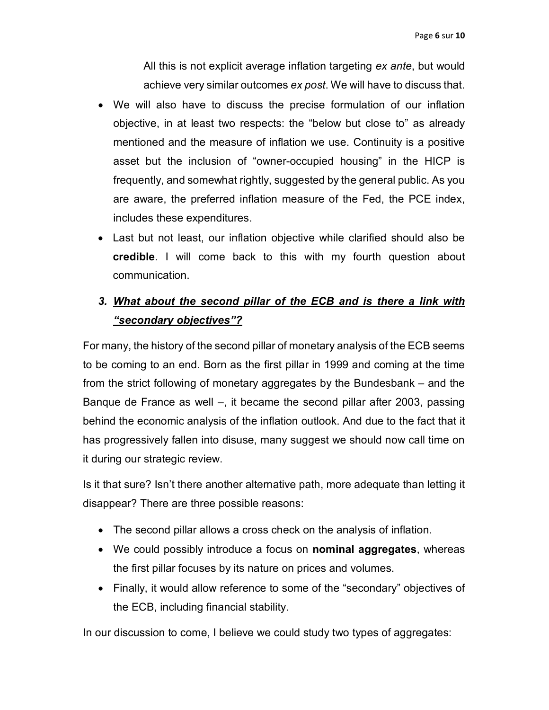All this is not explicit average inflation targeting ex ante, but would achieve very similar outcomes ex post. We will have to discuss that.

- We will also have to discuss the precise formulation of our inflation objective, in at least two respects: the "below but close to" as already mentioned and the measure of inflation we use. Continuity is a positive asset but the inclusion of "owner-occupied housing" in the HICP is frequently, and somewhat rightly, suggested by the general public. As you are aware, the preferred inflation measure of the Fed, the PCE index, includes these expenditures.
- Last but not least, our inflation objective while clarified should also be credible. I will come back to this with my fourth question about communication.

# 3. What about the second pillar of the ECB and is there a link with "secondary objectives"?

For many, the history of the second pillar of monetary analysis of the ECB seems to be coming to an end. Born as the first pillar in 1999 and coming at the time from the strict following of monetary aggregates by the Bundesbank – and the Banque de France as well –, it became the second pillar after 2003, passing behind the economic analysis of the inflation outlook. And due to the fact that it has progressively fallen into disuse, many suggest we should now call time on it during our strategic review.

Is it that sure? Isn't there another alternative path, more adequate than letting it disappear? There are three possible reasons:

- The second pillar allows a cross check on the analysis of inflation.
- We could possibly introduce a focus on **nominal aggregates**, whereas the first pillar focuses by its nature on prices and volumes.
- Finally, it would allow reference to some of the "secondary" objectives of the ECB, including financial stability.

In our discussion to come, I believe we could study two types of aggregates: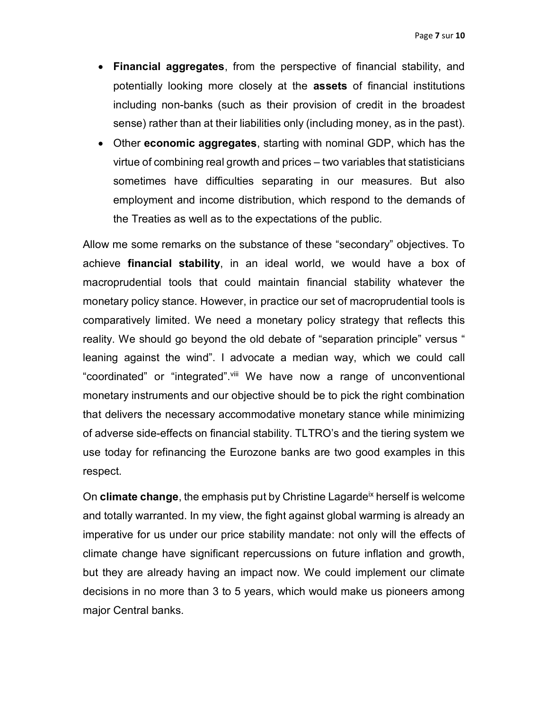- Financial aggregates, from the perspective of financial stability, and potentially looking more closely at the assets of financial institutions including non-banks (such as their provision of credit in the broadest sense) rather than at their liabilities only (including money, as in the past).
- Other economic aggregates, starting with nominal GDP, which has the virtue of combining real growth and prices – two variables that statisticians sometimes have difficulties separating in our measures. But also employment and income distribution, which respond to the demands of the Treaties as well as to the expectations of the public.

Allow me some remarks on the substance of these "secondary" objectives. To achieve financial stability, in an ideal world, we would have a box of macroprudential tools that could maintain financial stability whatever the monetary policy stance. However, in practice our set of macroprudential tools is comparatively limited. We need a monetary policy strategy that reflects this reality. We should go beyond the old debate of "separation principle" versus " leaning against the wind". I advocate a median way, which we could call "coordinated" or "integrated".<sup>viii</sup> We have now a range of unconventional monetary instruments and our objective should be to pick the right combination that delivers the necessary accommodative monetary stance while minimizing of adverse side-effects on financial stability. TLTRO's and the tiering system we use today for refinancing the Eurozone banks are two good examples in this respect.

On climate change, the emphasis put by Christine Lagarde<sup>ix</sup> herself is welcome and totally warranted. In my view, the fight against global warming is already an imperative for us under our price stability mandate: not only will the effects of climate change have significant repercussions on future inflation and growth, but they are already having an impact now. We could implement our climate decisions in no more than 3 to 5 years, which would make us pioneers among major Central banks.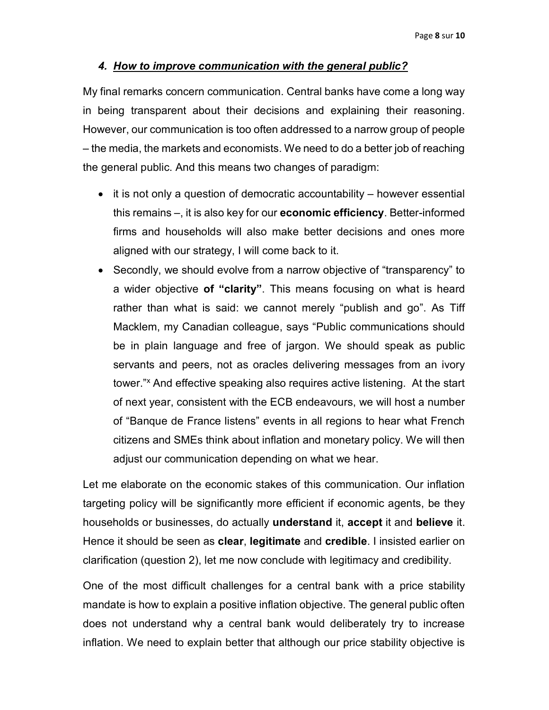### 4. How to improve communication with the general public?

My final remarks concern communication. Central banks have come a long way in being transparent about their decisions and explaining their reasoning. However, our communication is too often addressed to a narrow group of people – the media, the markets and economists. We need to do a better job of reaching the general public. And this means two changes of paradigm:

- $\bullet$  it is not only a question of democratic accountability however essential this remains –, it is also key for our economic efficiency. Better-informed firms and households will also make better decisions and ones more aligned with our strategy, I will come back to it.
- Secondly, we should evolve from a narrow objective of "transparency" to a wider objective of "clarity". This means focusing on what is heard rather than what is said: we cannot merely "publish and go". As Tiff Macklem, my Canadian colleague, says "Public communications should be in plain language and free of jargon. We should speak as public servants and peers, not as oracles delivering messages from an ivory tower."<sup>x</sup> And effective speaking also requires active listening. At the start of next year, consistent with the ECB endeavours, we will host a number of "Banque de France listens" events in all regions to hear what French citizens and SMEs think about inflation and monetary policy. We will then adjust our communication depending on what we hear.

Let me elaborate on the economic stakes of this communication. Our inflation targeting policy will be significantly more efficient if economic agents, be they households or businesses, do actually understand it, accept it and believe it. Hence it should be seen as **clear, legitimate** and **credible**. I insisted earlier on clarification (question 2), let me now conclude with legitimacy and credibility.

One of the most difficult challenges for a central bank with a price stability mandate is how to explain a positive inflation objective. The general public often does not understand why a central bank would deliberately try to increase inflation. We need to explain better that although our price stability objective is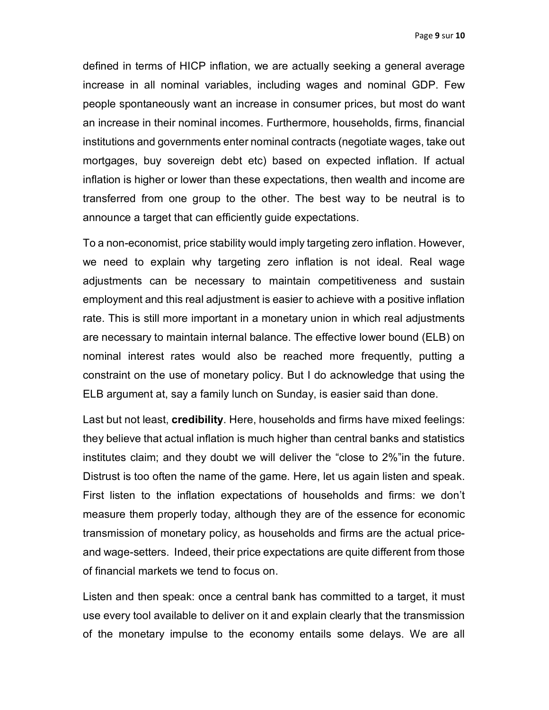defined in terms of HICP inflation, we are actually seeking a general average increase in all nominal variables, including wages and nominal GDP. Few people spontaneously want an increase in consumer prices, but most do want an increase in their nominal incomes. Furthermore, households, firms, financial institutions and governments enter nominal contracts (negotiate wages, take out mortgages, buy sovereign debt etc) based on expected inflation. If actual inflation is higher or lower than these expectations, then wealth and income are transferred from one group to the other. The best way to be neutral is to announce a target that can efficiently guide expectations.

To a non-economist, price stability would imply targeting zero inflation. However, we need to explain why targeting zero inflation is not ideal. Real wage adjustments can be necessary to maintain competitiveness and sustain employment and this real adjustment is easier to achieve with a positive inflation rate. This is still more important in a monetary union in which real adjustments are necessary to maintain internal balance. The effective lower bound (ELB) on nominal interest rates would also be reached more frequently, putting a constraint on the use of monetary policy. But I do acknowledge that using the ELB argument at, say a family lunch on Sunday, is easier said than done.

Last but not least, credibility. Here, households and firms have mixed feelings: they believe that actual inflation is much higher than central banks and statistics institutes claim; and they doubt we will deliver the "close to 2%"in the future. Distrust is too often the name of the game. Here, let us again listen and speak. First listen to the inflation expectations of households and firms: we don't measure them properly today, although they are of the essence for economic transmission of monetary policy, as households and firms are the actual priceand wage-setters. Indeed, their price expectations are quite different from those of financial markets we tend to focus on.

Listen and then speak: once a central bank has committed to a target, it must use every tool available to deliver on it and explain clearly that the transmission of the monetary impulse to the economy entails some delays. We are all